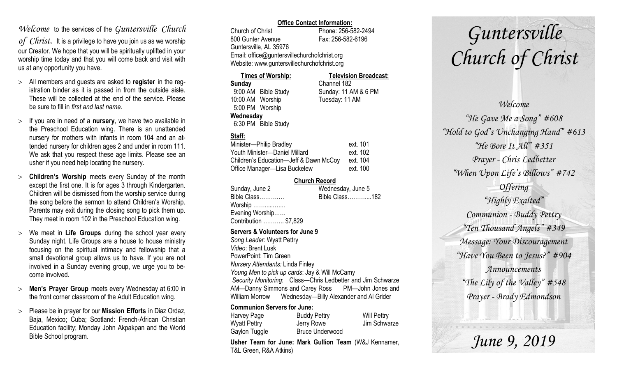### *Welcome* to the services of the *Guntersville Church*

*of Christ*. It is a privilege to have you join us as we worship our Creator. We hope that you will be spiritually uplifted in your worship time today and that you will come back and visit with us at any opportunity you have.

- All members and guests are asked to **register** in the registration binder as it is passed in from the outside aisle. These will be collected at the end of the service. Please be sure to fill in *first and last name*.
- $>$  If you are in need of a **nursery**, we have two available in the Preschool Education wing. There is an unattended nursery for mothers with infants in room 104 and an attended nursery for children ages 2 and under in room 111. We ask that you respect these age limits. Please see an usher if you need help locating the nursery.
- **Children's Worship** meets every Sunday of the month except the first one. It is for ages 3 through Kindergarten. Children will be dismissed from the worship service during the song before the sermon to attend Children's Worship. Parents may exit during the closing song to pick them up. They meet in room 102 in the Preschool Education wing.
- We meet in **Life Groups** during the school year every Sunday night. Life Groups are a house to house ministry focusing on the spiritual intimacy and fellowship that a small devotional group allows us to have. If you are not involved in a Sunday evening group, we urge you to become involved.
- **Men's Prayer Group** meets every Wednesday at 6:00 in the front corner classroom of the Adult Education wing.
- Please be in prayer for our **Mission Efforts** in Diaz Ordaz, Baja, Mexico; Cuba; Scotland: French-African Christian Education facility; Monday John Akpakpan and the World Bible School program.

#### **Office Contact Information:**

Church of Christ Phone: 256-582-2494 800 Gunter Avenue Fax: 256-582-6196 Guntersville, AL 35976 Email: office@guntersvillechurchofchrist.org Website: www.guntersvillechurchofchrist.org

| <b>Times of Worship:</b> |                     | <b>Television Broadcast:</b> |  |
|--------------------------|---------------------|------------------------------|--|
| Sunday                   |                     | Channel 182                  |  |
|                          | 9:00 AM Bible Study | Sunday: 11 AM & 6 PM         |  |
| 10:00 AM Worship         |                     | Tuesday: 11 AM               |  |
| 5:00 PM Worship          |                     |                              |  |
| Wednesday                |                     |                              |  |
|                          | 6:30 PM Bible Study |                              |  |

### **Staff:**

| Minister-Philip Bradley                | ext. 101 |
|----------------------------------------|----------|
| Youth Minister-Daniel Millard          | ext. 102 |
| Children's Education-Jeff & Dawn McCoy | ext. 104 |
| Office Manager-Lisa Buckelew           | ext. 100 |

### **Church Record**

| Sunday, June 2        | Wednesday, June 5 |
|-----------------------|-------------------|
| Bible Class           | Bible Class182    |
| Worship               |                   |
| Evening Worship       |                   |
| Contribution  \$7,829 |                   |
|                       |                   |

#### **Servers & Volunteers for June 9**

*Song Leader:* Wyatt Pettry *Video*: Brent Lusk PowerPoint: Tim Green *Nursery Attendants:* Linda Finley *Young Men to pick up cards*: Jay & Will McCamy *Security Monitoring*: Class—Chris Ledbetter and Jim Schwarze AM—Danny Simmons and Carey Ross PM—John Jones and William Morrow Wednesday—Billy Alexander and Al Grider

### **Communion Servers for June:**

| Harvey Page   | <b>Buddy Pettry</b>    | <b>Will Pettry</b> |
|---------------|------------------------|--------------------|
| Wyatt Pettry  | Jerry Rowe             | Jim Schwarze       |
| Gaylon Tuggle | <b>Bruce Underwood</b> |                    |

**Usher Team for June: Mark Gullion Team** (W&J Kennamer, T&L Green, R&A Atkins)

# *Guntersville Church of Christ*

*Welcome "He Gave Me a Song" #608 "Hold to God's Unchanging Hand" #613 "He Bore It All" #351 Prayer - Chris Ledbetter "When Upon Life's Billows" #742 Offering "Highly Exalted" Communion - Buddy Pettry "Ten Thousand Angels" #349 Message: Your Discouragement "Have You Been to Jesus?" #904 Announcements "The Lily of the Valley" #548 Prayer - Brady Edmondson*

*June 9, 2019*